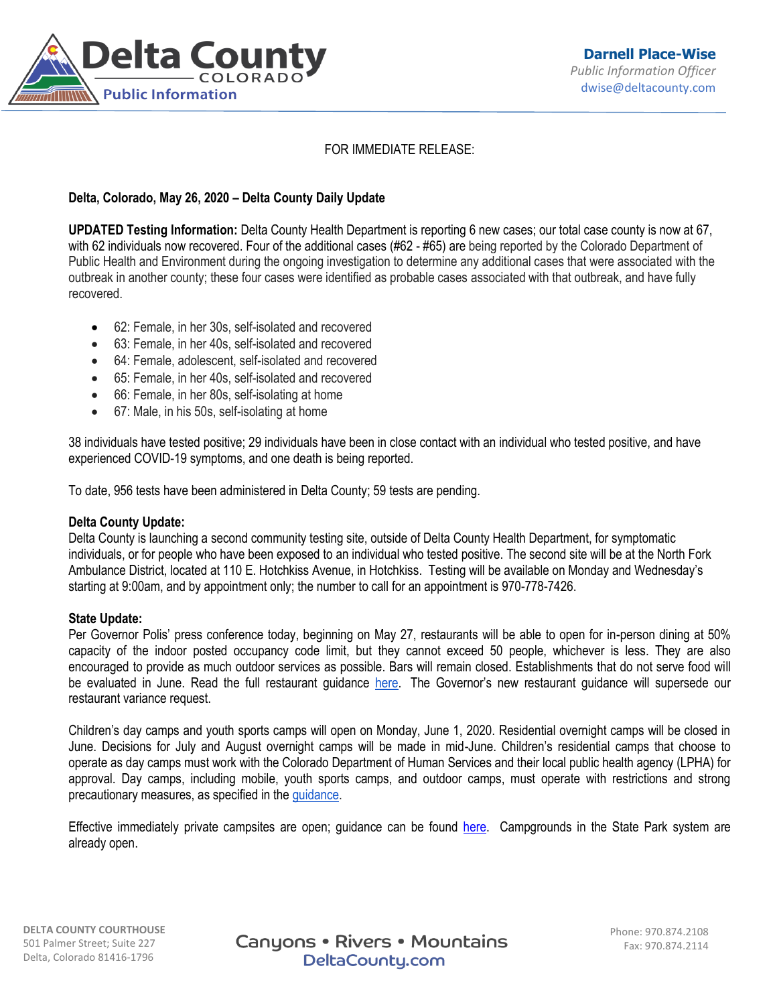

# FOR IMMEDIATE RELEASE:

# **Delta, Colorado, May 26, 2020 – Delta County Daily Update**

**UPDATED Testing Information:** Delta County Health Department is reporting 6 new cases; our total case county is now at 67, with 62 individuals now recovered. Four of the additional cases (#62 - #65) are being reported by the Colorado Department of Public Health and Environment during the ongoing investigation to determine any additional cases that were associated with the outbreak in another county; these four cases were identified as probable cases associated with that outbreak, and have fully recovered.

- 62: Female, in her 30s, self-isolated and recovered
- 63: Female, in her 40s, self-isolated and recovered
- 64: Female, adolescent, self-isolated and recovered
- 65: Female, in her 40s, self-isolated and recovered
- 66: Female, in her 80s, self-isolating at home
- 67: Male, in his 50s, self-isolating at home

38 individuals have tested positive; 29 individuals have been in close contact with an individual who tested positive, and have experienced COVID-19 symptoms, and one death is being reported.

To date, 956 tests have been administered in Delta County; 59 tests are pending.

## **Delta County Update:**

Delta County is launching a second community testing site, outside of Delta County Health Department, for symptomatic individuals, or for people who have been exposed to an individual who tested positive. The second site will be at the North Fork Ambulance District, located at 110 E. Hotchkiss Avenue, in Hotchkiss. Testing will be available on Monday and Wednesday's starting at 9:00am, and by appointment only; the number to call for an appointment is 970-778-7426.

## **State Update:**

Per Governor Polis' press conference today, beginning on May 27, restaurants will be able to open for in-person dining at 50% capacity of the indoor posted occupancy code limit, but they cannot exceed 50 people, whichever is less. They are also encouraged to provide as much outdoor services as possible. Bars will remain closed. Establishments that do not serve food will be evaluated in June. Read the full restaurant guidance [here.](https://urldefense.proofpoint.com/v2/url?u=https-3A__drive.google.com_file_d_1-5FyyWSUnb40TKDBk9EcvYcSkOzhCDV8NA_view&d=DwMFaQ&c=sdnEM9SRGFuMt5z5w3AhsPNahmNicq64TgF1JwNR0cs&r=_NtJjyItapHTtR0gQn3C1o3RqsEg3bTbEVZzVQwnWbg&m=Lkam0Jal8JkjfTlC8EP1IjWIQECjbnSm9NsyfNa2WtE&s=1qRM1rU6oXF1r2v7boLjNAYS5oeOqne_of2EyPNoDJA&e=) The Governor's new restaurant guidance will supersede our restaurant variance request.

Children's day camps and youth sports camps will open on Monday, June 1, 2020. Residential overnight camps will be closed in June. Decisions for July and August overnight camps will be made in mid-June. Children's residential camps that choose to operate as day camps must work with the Colorado Department of Human Services and their local public health agency (LPHA) for approval. Day camps, including mobile, youth sports camps, and outdoor camps, must operate with restrictions and strong precautionary measures, as specified in th[e guidance.](https://urldefense.proofpoint.com/v2/url?u=https-3A__drive.google.com_file_d_1VgN22JkbHAzrReXkNe6o-2DYLaJWgZjtn2_view&d=DwMFaQ&c=sdnEM9SRGFuMt5z5w3AhsPNahmNicq64TgF1JwNR0cs&r=_NtJjyItapHTtR0gQn3C1o3RqsEg3bTbEVZzVQwnWbg&m=Lkam0Jal8JkjfTlC8EP1IjWIQECjbnSm9NsyfNa2WtE&s=Sz4J8X9w0QOcE903YuvzkmNjICKM9HwKNSLEY8q8GZo&e=)

Effective immediately private campsites are open; guidance can be found [here.](https://covid19.colorado.gov/safer-at-home/campgrounds) Campgrounds in the State Park system are already open.